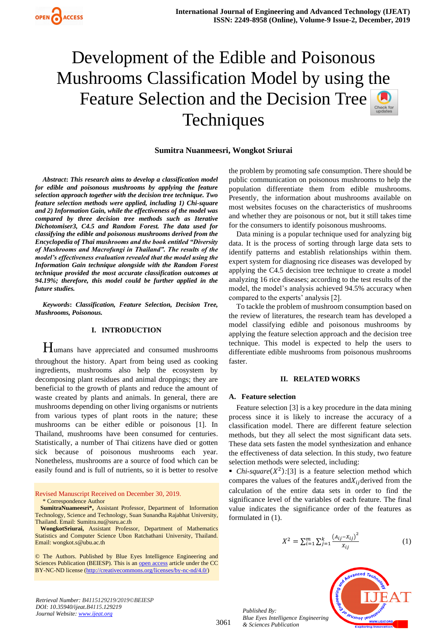# Development of the Edible and Poisonous Mushrooms Classification Model by using the Feature Selection and the Decision Tree **Techniques**



*Abstract***:** *This research aims to develop a classification model for edible and poisonous mushrooms by applying the feature selection approach together with the decision tree technique. Two feature selection methods were applied, including 1) Chi-square and 2) Information Gain, while the effectiveness of the model was compared by three decision tree methods such as Iterative Dichotomiser3, C4.5 and Random Forest. The data used for classifying the edible and poisonous mushrooms derived from the Encyclopedia of Thai mushrooms and the book entitled "Diversity of Mushrooms and Macrofungi in Thailand". The results of the model's effectiveness evaluation revealed that the model using the Information Gain technique alongside with the Random Forest technique provided the most accurate classification outcomes at 94.19%; therefore, this model could be further applied in the future studies.*

*Keywords***:** *Classification, Feature Selection, Decision Tree, Mushrooms, Poisonous.*

## **I. INTRODUCTION**

Humans have appreciated and consumed mushrooms throughout the history. Apart from being used as cooking ingredients, mushrooms also help the ecosystem by decomposing plant residues and animal droppings; they are beneficial to the growth of plants and reduce the amount of waste created by plants and animals. In general, there are mushrooms depending on other living organisms or nutrients from various types of plant roots in the nature; these mushrooms can be either edible or poisonous [1]. In Thailand, mushrooms have been consumed for centuries. Statistically, a number of Thai citizens have died or gotten sick because of poisonous mushrooms each year. Nonetheless, mushrooms are a source of food which can be easily found and is full of nutrients, so it is better to resolve

Revised Manuscript Received on December 30, 2019. \* Correspondence Author

**SumitraNuameesri\*,** Assistant Professor, Department of Information Technology, Science and Technology, Suan Sunandha Rajabhat University, Thailand. Email: Sumitra.nu@ssru.ac.th

**WongkotSriurai,** Assistant Professor, Department of Mathematics Statistics and Computer Science Ubon Ratchathani University, Thailand. Email: wongkot.s@ubu.ac.th

© The Authors. Published by Blue Eyes Intelligence Engineering and Sciences Publication (BEIESP). This is a[n open access](https://www.openaccess.nl/en/open-publications) article under the CC BY-NC-ND license [\(http://creativecommons.org/licenses/by-nc-nd/4.0/\)](http://creativecommons.org/licenses/by-nc-nd/4.0/)

the problem by promoting safe consumption. There should be public communication on poisonous mushrooms to help the population differentiate them from edible mushrooms. Presently, the information about mushrooms available on most websites focuses on the characteristics of mushrooms and whether they are poisonous or not, but it still takes time for the consumers to identify poisonous mushrooms.

Data mining is a popular technique used for analyzing big data. It is the process of sorting through large data sets to identify patterns and establish relationships within them. expert system for diagnosing rice diseases was developed by applying the C4.5 decision tree technique to create a model analyzing 16 rice diseases; according to the test results of the model, the model's analysis achieved 94.5% accuracy when compared to the experts' analysis [2].

To tackle the problem of mushroom consumption based on the review of literatures, the research team has developed a model classifying edible and poisonous mushrooms by applying the feature selection approach and the decision tree technique. This model is expected to help the users to differentiate edible mushrooms from poisonous mushrooms faster.

#### **II. RELATED WORKS**

#### **A. Feature selection**

Feature selection [3] is a key procedure in the data mining process since it is likely to increase the accuracy of a classification model. There are different feature selection methods, but they all select the most significant data sets. These data sets fasten the model synthesization and enhance the effectiveness of data selection. In this study, two feature selection methods were selected, including:

• *Chi-square*( $X^2$ ):[3] is a feature selection method which compares the values of the features and  $X_{ij}$  derived from the calculation of the entire data sets in order to find the significance level of the variables of each feature. The final value indicates the significance order of the features as formulated in (1).

$$
X^{2} = \sum_{i=1}^{m} \sum_{j=1}^{k} \frac{(A_{ij} - X_{ij})^{2}}{X_{ij}}
$$
(1)

*Published By: Blue Eyes Intelligence Engineering & Sciences Publication* 



*Retrieval Number: B4115129219/2019©BEIESP DOI: 10.35940/ijeat.B4115.129219 Journal Website[: www.ijeat.org](http://www.ijeat.org/)*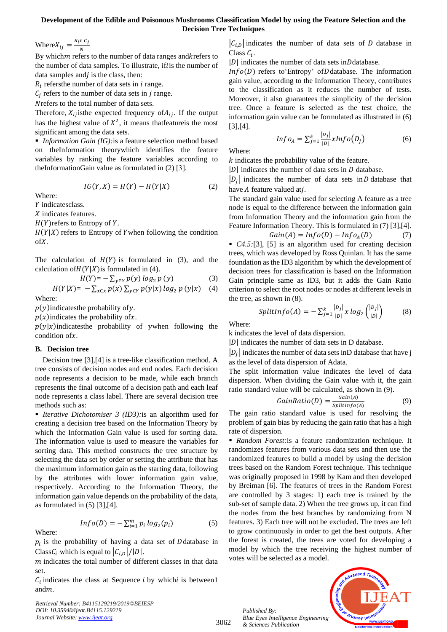## **Development of the Edible and Poisonous Mushrooms Classification Model by using the Feature Selection and the Decision Tree Techniques**

Where  $X_{ij} = \frac{R_i x C_j}{N}$ N

By which *m* refers to the number of data ranges and *k* refers to the number of data samples. To illustrate, ifis the number of data samples and  $j$  is the class, then:

 $R_i$  refersthe number of data sets in  $i$  range.

 $C_j$  refers to the number of data sets in  $j$  range.

Nrefers to the total number of data sets.

Therefore,  $X_{ij}$  is the expected frequency of  $A_{ij}$ . If the output has the highest value of  $X^2$ , it means thatfeature is the most significant among the data sets.

■ *Information Gain (IG):* is a feature selection method based on theInformation theorywhich identifies the feature variables by ranking the feature variables according to theInformationGain value as formulated in (2) [3].

$$
IG(Y, X) = H(Y) - H(Y|X)
$$
 (2)

Where:

Y indicatesclass.

 $X$  indicates features.

 $H(Y)$ refers to Entropy of Y.

 $H(Y|X)$  refers to Entropy of Ywhen following the condition ofX.

The calculation of  $H(Y)$  is formulated in (3), and the calculation of  $H(Y|X)$  is formulated in (4).

$$
H(Y) = -\sum_{y \in Y} p(y) \log_2 p(y) \tag{3}
$$

$$
H(Y|X) = -\sum_{x \in x} p(x) \sum_{y \in Y} p(y|x) \log_2 p(y|x)
$$
 (4)

Where:

 $p(y)$ indicatesthe probability of y.

 $p(x)$  indicates the probability of x.

 $p(y|x)$ indicatesthe probability of ywhen following the  $condition of x$ .

## **B. Decision tree**

Decision tree [3],[4] is a tree-like classification method. A tree consists of decision nodes and end nodes. Each decision node represents a decision to be made, while each branch represents the final outcome of a decision path and each leaf node represents a class label. There are several decision tree methods such as:

■ *Iterative Dichotomiser 3 (ID3):* is an algorithm used for creating a decision tree based on the Information Theory by which the Information Gain value is used for sorting data. The information value is used to measure the variables for sorting data. This method constructs the tree structure by selecting the data set by order or setting the attribute that has the maximum information gain as the starting data, following by the attributes with lower information gain value, respectively. According to the Information Theory, the information gain value depends on the probability of the data, as formulated in  $(5)$  [3], [4].

$$
lnfo(D) = -\sum_{i=1}^{m} p_i log_2(p_i)
$$
 (5)

Where:  $p_i$  is the probability of having a data set of D database in Class  $C_i$  which is equal to  $|C_{i,D}|/|D|$ .

 $m$  indicates the total number of different classes in that data set.

 $C_i$  indicates the class at Sequence *i* by which *i* is between1 andm.

*Retrieval Number: B4115129219/2019©BEIESP DOI: 10.35940/ijeat.B4115.129219 Journal Website[: www.ijeat.org](http://www.ijeat.org/)*

 $|C_{i,D}|$  indicates the number of data sets of D database in Class  $C_i$ .

 $|D|$  indicates the number of data sets in $D$  database.

 $Info(D)$  refers to 'Entropy' of D database. The information gain value, according to the Information Theory, contributes to the classification as it reduces the number of tests. Moreover, it also guarantees the simplicity of the decision tree. Once a feature is selected as the test choice, the information gain value can be formulated as illustrated in (6) [3],[4].

$$
Inf_{o_A} = \sum_{j=1}^k \frac{|D_j|}{|D|} xInfo(D_j)
$$
 (6)

Where:

 $k$  indicates the probability value of the feature.

 $|D|$  indicates the number of data sets in  $D$  database.

 $|D_j|$  indicates the number of data sets in D database that have  $A$  feature valued atj.

The standard gain value used for selecting A feature as a tree node is equal to the difference between the information gain from Information Theory and the information gain from the Feature Information Theory. This is formulated in (7) [3],[4].

$$
Gain(A) = Info(D) - Info_A(D) \tag{7}
$$

■ *C4.5*:[3], [5] is an algorithm used for creating decision trees, which was developed by Ross Quinlan. It has the same foundation as the ID3 algorithm by which the development of decision trees for classification is based on the Information Gain principle same as ID3, but it adds the Gain Ratio criterion to select the root nodes or nodes at different levels in the tree, as shown in (8).

$$
SplitInfo(A) = -\sum_{j=1}^{k} \frac{|D_j|}{|D|} x log_2 \left(\frac{|D_j|}{|D|}\right) \tag{8}
$$

Where:

k indicates the level of data dispersion.

 $|D|$  indicates the number of data sets in D database.

 $|D_j|$  indicates the number of data sets inD database that have j as the level of data dispersion of Adata.

The split information value indicates the level of data dispersion. When dividing the Gain value with it, the gain ratio standard value will be calculated, as shown in (9).

$$
GainRatio(D) = \frac{Gain(A)}{splitInfo(A)} \tag{9}
$$

The gain ratio standard value is used for resolving the problem of gain bias by reducing the gain ratio that has a high rate of dispersion.

■ *Random Forest:*is a feature randomization technique. It randomizes features from various data sets and then use the randomized features to build a model by using the decision trees based on the Random Forest technique. This technique was originally proposed in 1998 by Kam and then developed by Breiman [6]. The features of trees in the Random Forest are controlled by 3 stages: 1) each tree is trained by the sub-set of sample data. 2) When the tree grows up, it can find the nodes from the best branches by randomizing from N features. 3) Each tree will not be excluded. The trees are left to grow continuously in order to get the best outputs. After the forest is created, the trees are voted for developing a model by which the tree receiving the highest number of votes will be selected as a model.

*Published By: Blue Eyes Intelligence Engineering & Sciences Publication* 

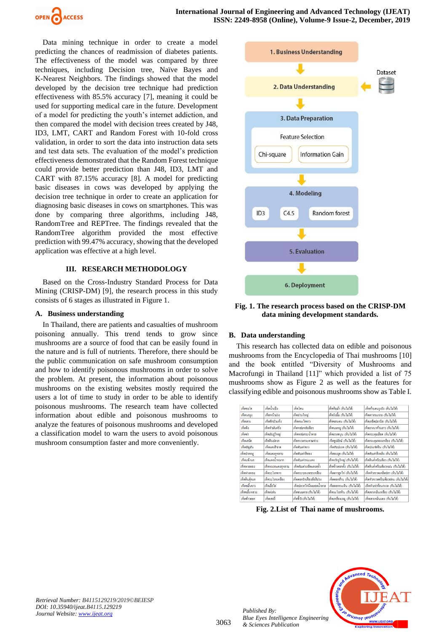

Data mining technique in order to create a model predicting the chances of readmission of diabetes patients. The effectiveness of the model was compared by three techniques, including Decision tree, Naïve Bayes and K-Nearest Neighbors. The findings showed that the model developed by the decision tree technique had prediction effectiveness with 85.5% accuracy [7], meaning it could be used for supporting medical care in the future. Development of a model for predicting the youth's internet addiction, and then compared the model with decision trees created by J48, ID3, LMT, CART and Random Forest with 10-fold cross validation, in order to sort the data into instruction data sets and test data sets. The evaluation of the model's prediction effectiveness demonstrated that the Random Forest technique could provide better prediction than J48, ID3, LMT and CART with 87.15% accuracy [8]. A model for predicting basic diseases in cows was developed by applying the decision tree technique in order to create an application for diagnosing basic diseases in cows on smartphones. This was done by comparing three algorithms, including J48, RandomTree and REPTree. The findings revealed that the RandomTree algorithm provided the most effective prediction with 99.47% accuracy, showing that the developed application was effective at a high level.

## **III. RESEARCH METHODOLOGY**

Based on the Cross-Industry Standard Process for Data Mining (CRISP-DM) [9], the research process in this study consists of 6 stages as illustrated in Figure 1.

## **A. Business understanding**

In Thailand, there are patients and casualties of mushroom poisoning annually. This trend tends to grow since mushrooms are a source of food that can be easily found in the nature and is full of nutrients. Therefore, there should be the public communication on safe mushroom consumption and how to identify poisonous mushrooms in order to solve the problem. At present, the information about poisonous mushrooms on the existing websites mostly required the users a lot of time to study in order to be able to identify poisonous mushrooms. The research team have collected information about edible and poisonous mushrooms to analyze the features of poisonous mushrooms and developed a classification model to warn the users to avoid poisonous mushroom consumption faster and more conveniently.



**Fig. 1. The research process based on the CRISP-DM data mining development standards.**

## **B. Data understanding**

This research has collected data on edible and poisonous mushrooms from the Encyclopedia of Thai mushrooms [10] and the book entitled "Diversity of Mushrooms and Macrofungi in Thailand [11]" which provided a list of 75 mushrooms show as Figure 2 as well as the features for classifying edible and poisonous mushrooms show as Table I.

| เห็ดชงโด      | เห็ดน้ำแป็ง       | เห็ดโคน                  | เห็ดกิบม้า (กินไม่ได้)      | เห็ดก้านขนรุงรัง (กินไม่ได้)         |
|---------------|-------------------|--------------------------|-----------------------------|--------------------------------------|
| เท็ดนกยง      | เห็ดหน้ามวง       | เห็ดถ่านใหญ่             | เห็ดรังนั้น (กินไม่ได้)     | เห็ดคาวกระจาย (กินไม่ได้)            |
| เห็ดเผาะ      | เห็ดฝักบ้าแห้ง    | เห็ดตระไดขาว             | เห็ดขอนขน (กินไม่ได้)       | เห็ดเกล็ดปลานิล (กินไม่ได้)          |
| เห็ดขิง       | เห็ดหัวบันฝรั่ง   | เห็ดหล่มหลังเขียว        | เห็ดนมหมู (กินไม่ได้)       | เห็ดยางนาก้านยาว (กินไม่ได้)         |
| เห็ดข่า       | เห็ดมันปใหญ่      | เห็ดหล่มกระน้ำตาล        | เห็ดยวงขนน (กินไม่ได้)      | เห็ดกระดุมเลือด (กินไม่ได้)          |
| เห็ดเสม็ด     | เห็ดดินปลวก       | เพ็ดกรวยกระดาษฟาง        | เห็ดธปยักษ์ (กินไม่ได้)     | เห็ดกระดมทองเหลือง (กินไม่ได้)       |
| เห็ดอัญชัน    | เห็ดแคงสีชาด      | เห็ดตับเต่าขาว           | เห็ดสับปะรด (กินไม่ได้)     | เห็ดประทัดจีน (กินไม่ได้)            |
| เห็ดปากหม     | เห็ดแดงกหลาบ      | เห็ดต้นเต่าสีทอง         | เห็ดละมด (กินไม่ได้)        | เห็ดตับเต่าสีเพลิง (กินไม่ได้)       |
| เห็ดแข้งนก    | เห็ดแคงน้ำหมาก    | เห็ดตับเต่ากระแดง        | เห็ดจวักงูใหญ่ (กินไม่ได้)  | เห็ดดินด่ำคริบเขียว (กินไม่ได้)      |
| เห็ดพายทอง    | เท็ดหมวกแดงกุหลาบ | เห็ดตับเต่าเกล็ดแคงคล้ำ  | เห็ดข้าวดอกตั้ง (กินไม่ได้) | เห็ดดินดำคริบเขียวหม่น (กินไม่ได้)   |
| เห็ดฟางหลง    | เห็ดระโงกขาว      | เห็ดกระบองเพชรเหลือง     | เห็ดดาวลกไก่ (กินไม่ได้)    | เห็ดหัวกรวดเกล็ดปลา (กินไม่ได้)      |
| เห็ดดินดักแก  | เห็ดระโงกเหลือง   | เห็ดดอกรักเฟืองล้อสิบวง  | เห็ดดอกส้าน (กินไม่ได้)     | เห็ดหัวกรวดกรีบเขียวอ่อน (กินไม่ได้) |
| เห็ดขมิ้นขาว  | เห็ดเยื่อไผ่      | เห็ดปลวกใก่น้อยยอดน้ำตาล | เห็ดดอกกระถิน (กินไม่ได้)   | เห็ดหัวเข่าก้อนกรวด (กินไม่ได้)      |
| เห็ดขมิ้นหลวง | เห็ดต่อฝน         | เห็ดขนมดาล (กินไม่ได้)   | เห็ดระโงกหิน (กินไม่ได้)    | เห็ดเขาเหม็นเหลือง (กินไม่ได้)       |
| เห็ดข้าวตอก   | เห็ดเชกรี่        | เห็ดขี้วัว (กินไม่ได้)   | เห็ดเหลืองเรณ (กินไม่ได้)   | เห็ดเขาเหม็นแดง (กินไม่ได้)          |

**Fig. 2.List of Thai name of mushrooms.**



*Retrieval Number: B4115129219/2019©BEIESP DOI: 10.35940/ijeat.B4115.129219 Journal Website[: www.ijeat.org](http://www.ijeat.org/)*

3063

*Published By:*

*& Sciences Publication*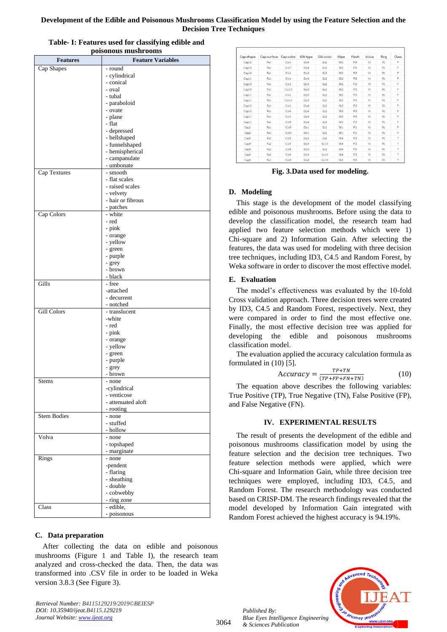| Development of the Edible and Poisonous Mushrooms Classification Model by using the Feature Selection and the |
|---------------------------------------------------------------------------------------------------------------|
| <b>Decision Tree Techniques</b>                                                                               |

| <b>Features</b>    | <b>Feature Variables</b>   |
|--------------------|----------------------------|
| Cap Shapes         | - round                    |
|                    | - cylindrical              |
|                    | - conical                  |
|                    | - oval                     |
|                    | - tubal                    |
|                    | - paraboloid               |
|                    | - ovate<br>- plane         |
|                    | - flat                     |
|                    | - depressed                |
|                    | - bellshaped               |
|                    | - funnelshaped             |
|                    | - hemispherical            |
|                    | - campanulate              |
|                    | - umbonate                 |
| Cap Textures       | - smooth<br>- flat scales  |
|                    | - raised scales            |
|                    | - velvety                  |
|                    | - hair or fibrous          |
|                    | - patches                  |
| Cap Colors         | - white                    |
|                    | - red                      |
|                    | - pink                     |
|                    | - orange                   |
|                    | - yellow                   |
|                    | - green<br>- purple        |
|                    | - grey                     |
|                    | - brown                    |
|                    | - black                    |
| Gills              | - free                     |
|                    | -attached                  |
|                    | - decurrent                |
| <b>Gill Colors</b> | - notched<br>- translucent |
|                    | -white                     |
|                    | - red                      |
|                    | - pink                     |
|                    | - orange                   |
|                    | - yellow                   |
|                    | - green                    |
|                    | - purple                   |
|                    | - grey<br>- brown          |
| Stems              | - none                     |
|                    | -cylindrical               |
|                    | - venticose                |
|                    | - attenuated aloft         |
|                    | - rooting                  |
| <b>Stem Bodies</b> | - none                     |
|                    | - stuffed<br>- hollow      |
| Volva              | - none                     |
|                    | - topshaped                |
|                    | - marginate                |
| Rings              | - none                     |
|                    | -pendent                   |
|                    | - flaring                  |
|                    | - sheathing                |
|                    | - double                   |
|                    | - cobwebby<br>- ring zone  |
| Class              | - edible,                  |
|                    | - poisonous                |

| Table- I: Features used for classifying edible and |
|----------------------------------------------------|
| poisonous mushrooms                                |

# **C. Data preparation**

After collecting the data on edible and poisonous mushrooms (Figure 1 and Table I), the research team analyzed and cross-checked the data. Then, the data was transformed into .CSV file in order to be loaded in Weka version 3.8.3 (See Figure 3).

*Retrieval Number: B4115129219/2019©BEIESP DOI: 10.35940/ijeat.B4115.129219 Journal Website[: www.ijeat.org](http://www.ijeat.org/)*

| Cap-shape        | Cap-surface | Cap-color | Gill-type | Gill-color      | <b>Stipe</b>     | Flesh           | Volva          | Ring           | Class |
|------------------|-------------|-----------|-----------|-----------------|------------------|-----------------|----------------|----------------|-------|
| Cap12            | Fa1         | Col1      | Gtv4      | Gc2             | Sti2             | F <sub>13</sub> | V <sub>1</sub> | R1             | F     |
| Cap10            | Fa1         | Col7      | Gtv4      | Gc <sub>2</sub> | Sti5             | F <sub>3</sub>  | V1             | R1             | F     |
| Cap10            | Fa1         | Col1      | Gty3      | Gc2             | Sti2             | F <sub>3</sub>  | V1             | R1             | F     |
| Cap11            | Fa1         | Col1      | Gtv3      | Gc2             | Sti <sub>2</sub> | F <sub>13</sub> | V <sub>1</sub> | R1             | F     |
| Cap10            | Fa1         | Col1      | Gtv3      | Gc2             | Sti2             | F <sub>13</sub> | V1             | R1             | F     |
| Cap10            | Fa1         | Col10     | Gty3      | Gc2             | Sti2             | F <sub>3</sub>  | V <sub>1</sub> | R1             | F     |
| Cap11            | Fa1         | Col1      | Gty3      | Gc2             | Sti2             | F <sub>3</sub>  | V1             | R1             | F     |
| Cap11            | Fa1         | Col10     | Gtv3      | Gc2             | Sti <sub>2</sub> | FL <sub>3</sub> | V <sub>1</sub> | R1             | F     |
| Cap10            | Fa1         | Col1      | Gtv4      | Gc2             | Sti5             | F <sub>13</sub> | V <sub>1</sub> | R1             | F     |
| Cap10            | Fa1         | Col9      | Gty4      | Gc2             | Sti5             | F <sub>3</sub>  | V <sub>1</sub> | R1             | F     |
| Cap11            | Fa1         | Col1      | Gty4      | Gc2             | Sti5             | F <sub>3</sub>  | V1             | R1             | F     |
| Cap11            | Fa1         | Col9      | Gtv4      | Gc2             | Sti5             | F <sub>13</sub> | V <sub>1</sub> | R1             | F     |
| Cap1             | Fa1         | Col9      | Gtv1      | Gc1             | Sti1             | F11             | V1             | R1             | F     |
| Cap <sub>2</sub> | Fa1         | Col9      | Gty1      | Gc1             | Sti1             | F11             | V1             | R1             | F     |
| Cap9             | Fa2         | Col5      | Gtv3      | Gc6             | Sti4             | F <sub>3</sub>  | V1             | R1             | T     |
| Cap9             | Fa2         | Col5      | Gtv3      | Gc10            | Sti4             | F <sub>13</sub> | V1             | R1             | T     |
| Cap9             | Fa2         | Col9      | Gtv3      | Gc6             | Sti4             | F <sub>3</sub>  | V1             | R1             | т     |
| Cap9             | Fa2         | Col9      | Gty3      | Gc10            | Sti4             | F <sub>3</sub>  | V1             | R1             | т     |
| Cap8             | Fa1         | Col9      | Gty4      | Gc10            | Sti <sub>2</sub> | F <sub>13</sub> | V1             | R <sub>1</sub> | т     |

**Fig. 3.Data used for modeling.**

# **D. Modeling**

This stage is the development of the model classifying edible and poisonous mushrooms. Before using the data to develop the classification model, the research team had applied two feature selection methods which were 1) Chi-square and 2) Information Gain. After selecting the features, the data was used for modeling with three decision tree techniques, including ID3, C4.5 and Random Forest, by Weka software in order to discover the most effective model.

## **E. Evaluation**

The model's effectiveness was evaluated by the 10-fold Cross validation approach. Three decision trees were created by ID3, C4.5 and Random Forest, respectively. Next, they were compared in order to find the most effective one. Finally, the most effective decision tree was applied for developing the edible and poisonous mushrooms classification model.

The evaluation applied the accuracy calculation formula as formulated in (10) [5].

$$
Accuracy = \frac{TP + TN}{(TP + FP + FN + TN)}
$$
 (10)

The equation above describes the following variables: True Positive (TP), True Negative (TN), False Positive (FP), and False Negative (FN).

## **IV. EXPERIMENTAL RESULTS**

The result of presents the development of the edible and poisonous mushrooms classification model by using the feature selection and the decision tree techniques. Two feature selection methods were applied, which were Chi-square and Information Gain, while three decision tree techniques were employed, including ID3, C4.5, and Random Forest. The research methodology was conducted based on CRISP-DM. The research findings revealed that the model developed by Information Gain integrated with Random Forest achieved the highest accuracy is 94.19%.

*Published By: Blue Eyes Intelligence Engineering & Sciences Publication* 

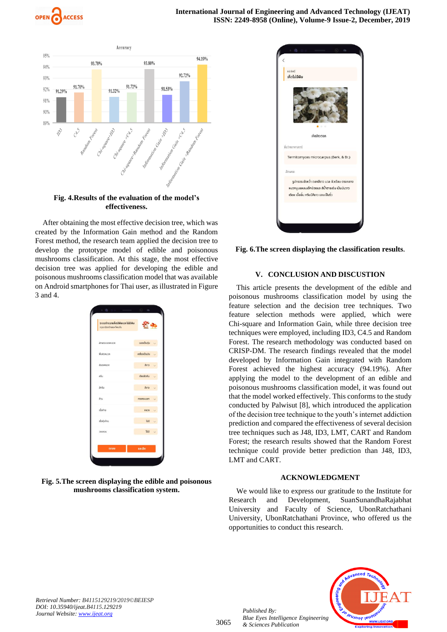



**Fig. 4.Results of the evaluation of the model's effectiveness.**

After obtaining the most effective decision tree, which was created by the Information Gain method and the Random Forest method, the research team applied the decision tree to develop the prototype model of edible and poisonous mushrooms classification. At this stage, the most effective decision tree was applied for developing the edible and poisonous mushrooms classification model that was available on Android smartphones for Thai user, as illustrated in Figure 3 and 4.

| ระบบจำแนกเห็ดมีพิษและไม่มีพิษ<br>กรุณาเจือกลักษณะที่พบเห็น |                  |  |
|------------------------------------------------------------|------------------|--|
| สักษณะของหมวก                                              | ยอดเป็นตุ่ม      |  |
| พื้นผิวหมวก                                                | เกลี่ยงเป็นมัน   |  |
| สีของหมวก                                                  | สีขาว            |  |
| nšu                                                        | <b>Išuvēniru</b> |  |
| สีครีน                                                     | <b>a</b>         |  |
| ก้าน                                                       | <b>กรงกระบอก</b> |  |
| เมื่อก้าน                                                  | napp             |  |
| เมื่อห้มโคน                                                | lúű              |  |
| <b>UCHING</b>                                              | luid             |  |
| anav                                                       | ยกเลิก           |  |

**Fig. 5.The screen displaying the edible and poisonous mushrooms classification system.**



**Fig. 6.The screen displaying the classification results.** 

## **V. CONCLUSION AND DISCUSTION**

This article presents the development of the edible and poisonous mushrooms classification model by using the feature selection and the decision tree techniques. Two feature selection methods were applied, which were Chi-square and Information Gain, while three decision tree techniques were employed, including ID3, C4.5 and Random Forest. The research methodology was conducted based on CRISP-DM. The research findings revealed that the model developed by Information Gain integrated with Random Forest achieved the highest accuracy (94.19%). After applying the model to the development of an edible and poisonous mushrooms classification model, it was found out that the model worked effectively. This conforms to the study conducted by Palwisut [8], which introduced the application of the decision tree technique to the youth's internet addiction prediction and compared the effectiveness of several decision tree techniques such as J48, ID3, LMT, CART and Random Forest; the research results showed that the Random Forest technique could provide better prediction than J48, ID3, LMT and CART.

## **ACKNOWLEDGMENT**

We would like to express our gratitude to the Institute for Research and Development, SuanSunandhaRajabhat University and Faculty of Science, UbonRatchathani University, UbonRatchathani Province, who offered us the opportunities to conduct this research.

*Retrieval Number: B4115129219/2019©BEIESP DOI: 10.35940/ijeat.B4115.129219 Journal Website[: www.ijeat.org](http://www.ijeat.org/)*

*Published By: Blue Eyes Intelligence Engineering & Sciences Publication*